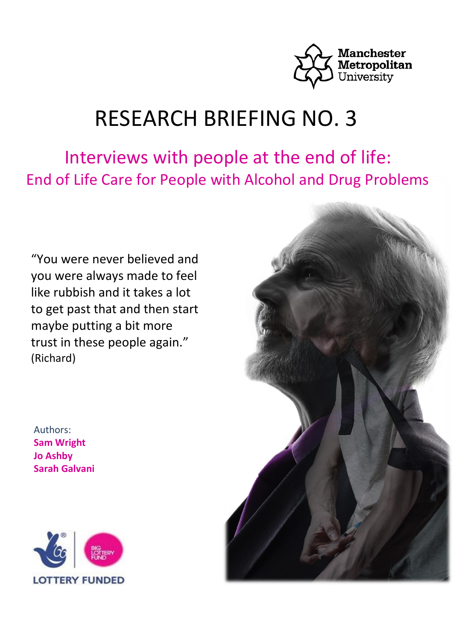

# RESEARCH BRIEFING NO. 3

Interviews with people at the end of life: End of Life Care for People with Alcohol and Drug Problems

"You were never believed and you were always made to feel like rubbish and it takes a lot to get past that and then start maybe putting a bit more trust in these people again." (Richard)

Authors: **Sam Wright Jo Ashby Sarah Galvani**



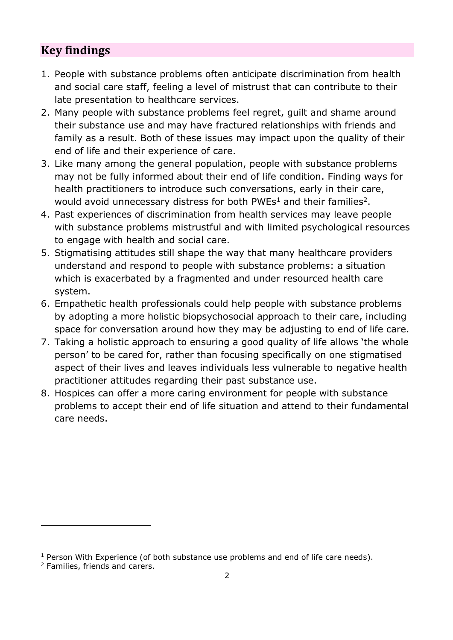# **Key findings**

- 1. People with substance problems often anticipate discrimination from health and social care staff, feeling a level of mistrust that can contribute to their late presentation to healthcare services.
- 2. Many people with substance problems feel regret, guilt and shame around their substance use and may have fractured relationships with friends and family as a result. Both of these issues may impact upon the quality of their end of life and their experience of care.
- 3. Like many among the general population, people with substance problems may not be fully informed about their end of life condition. Finding ways for health practitioners to introduce such conversations, early in their care, would avoid unnecessary distress for both PWEs<sup>1</sup> and their families<sup>2</sup>.
- 4. Past experiences of discrimination from health services may leave people with substance problems mistrustful and with limited psychological resources to engage with health and social care.
- 5. Stigmatising attitudes still shape the way that many healthcare providers understand and respond to people with substance problems: a situation which is exacerbated by a fragmented and under resourced health care system.
- 6. Empathetic health professionals could help people with substance problems by adopting a more holistic biopsychosocial approach to their care, including space for conversation around how they may be adjusting to end of life care.
- 7. Taking a holistic approach to ensuring a good quality of life allows 'the whole person' to be cared for, rather than focusing specifically on one stigmatised aspect of their lives and leaves individuals less vulnerable to negative health practitioner attitudes regarding their past substance use.
- 8. Hospices can offer a more caring environment for people with substance problems to accept their end of life situation and attend to their fundamental care needs.

 $\overline{a}$ 

<sup>&</sup>lt;sup>1</sup> Person With Experience (of both substance use problems and end of life care needs).

<sup>2</sup> Families, friends and carers.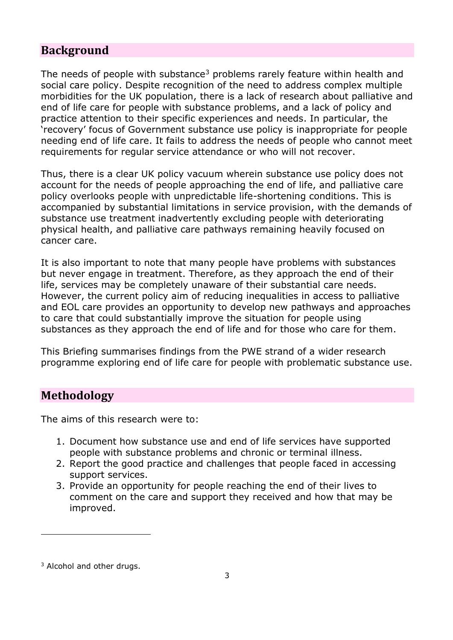# **Background**

The needs of people with substance<sup>3</sup> problems rarely feature within health and social care policy. Despite recognition of the need to address complex multiple morbidities for the UK population, there is a lack of research about palliative and end of life care for people with substance problems, and a lack of policy and practice attention to their specific experiences and needs. In particular, the 'recovery' focus of Government substance use policy is inappropriate for people needing end of life care. It fails to address the needs of people who cannot meet requirements for regular service attendance or who will not recover.

Thus, there is a clear UK policy vacuum wherein substance use policy does not account for the needs of people approaching the end of life, and palliative care policy overlooks people with unpredictable life-shortening conditions. This is accompanied by substantial limitations in service provision, with the demands of substance use treatment inadvertently excluding people with deteriorating physical health, and palliative care pathways remaining heavily focused on cancer care.

It is also important to note that many people have problems with substances but never engage in treatment. Therefore, as they approach the end of their life, services may be completely unaware of their substantial care needs. However, the current policy aim of reducing inequalities in access to palliative and EOL care provides an opportunity to develop new pathways and approaches to care that could substantially improve the situation for people using substances as they approach the end of life and for those who care for them.

This Briefing summarises findings from the PWE strand of a wider research programme exploring end of life care for people with problematic substance use.

# **Methodology**

The aims of this research were to:

- 1. Document how substance use and end of life services have supported people with substance problems and chronic or terminal illness.
- 2. Report the good practice and challenges that people faced in accessing support services.
- 3. Provide an opportunity for people reaching the end of their lives to comment on the care and support they received and how that may be improved.

 $\overline{a}$ 

<sup>&</sup>lt;sup>3</sup> Alcohol and other drugs.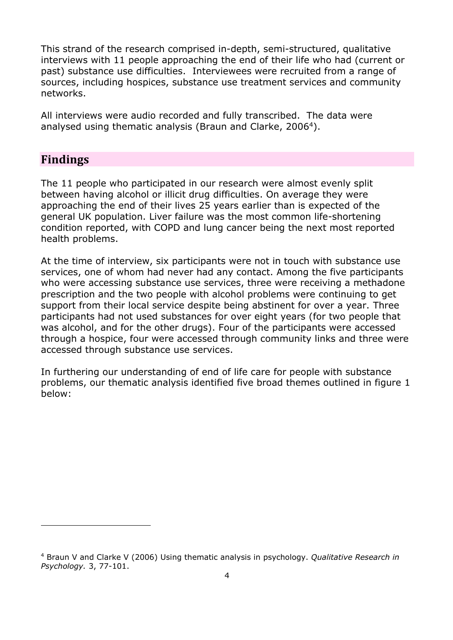This strand of the research comprised in-depth, semi-structured, qualitative interviews with 11 people approaching the end of their life who had (current or past) substance use difficulties. Interviewees were recruited from a range of sources, including hospices, substance use treatment services and community networks.

All interviews were audio recorded and fully transcribed. The data were analysed using thematic analysis (Braun and Clarke, 2006<sup>4</sup>).

# **Findings**

 $\overline{a}$ 

The 11 people who participated in our research were almost evenly split between having alcohol or illicit drug difficulties. On average they were approaching the end of their lives 25 years earlier than is expected of the general UK population. Liver failure was the most common life-shortening condition reported, with COPD and lung cancer being the next most reported health problems.

At the time of interview, six participants were not in touch with substance use services, one of whom had never had any contact. Among the five participants who were accessing substance use services, three were receiving a methadone prescription and the two people with alcohol problems were continuing to get support from their local service despite being abstinent for over a year. Three participants had not used substances for over eight years (for two people that was alcohol, and for the other drugs). Four of the participants were accessed through a hospice, four were accessed through community links and three were accessed through substance use services.

In furthering our understanding of end of life care for people with substance problems, our thematic analysis identified five broad themes outlined in figure 1 below:

<sup>4</sup> Braun V and Clarke V (2006) Using thematic analysis in psychology. *Qualitative Research in Psychology.* 3, 77-101.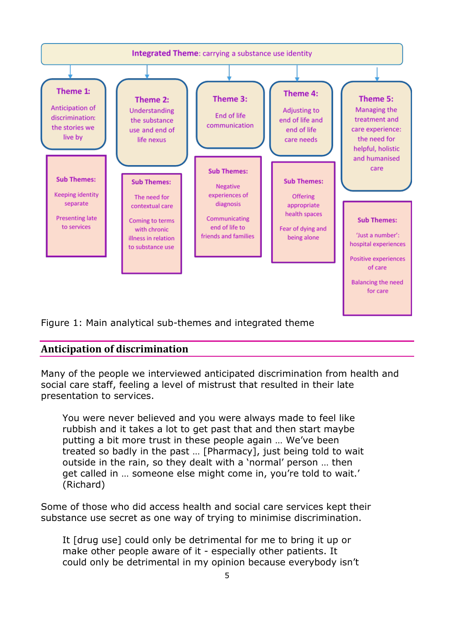

Figure 1: Main analytical sub-themes and integrated theme

## **Anticipation of discrimination**

Many of the people we interviewed anticipated discrimination from health and social care staff, feeling a level of mistrust that resulted in their late presentation to services.

You were never believed and you were always made to feel like rubbish and it takes a lot to get past that and then start maybe putting a bit more trust in these people again … We've been treated so badly in the past … [Pharmacy], just being told to wait outside in the rain, so they dealt with a 'normal' person … then get called in … someone else might come in, you're told to wait.' (Richard)

Some of those who did access health and social care services kept their substance use secret as one way of trying to minimise discrimination.

It [drug use] could only be detrimental for me to bring it up or make other people aware of it - especially other patients. It could only be detrimental in my opinion because everybody isn't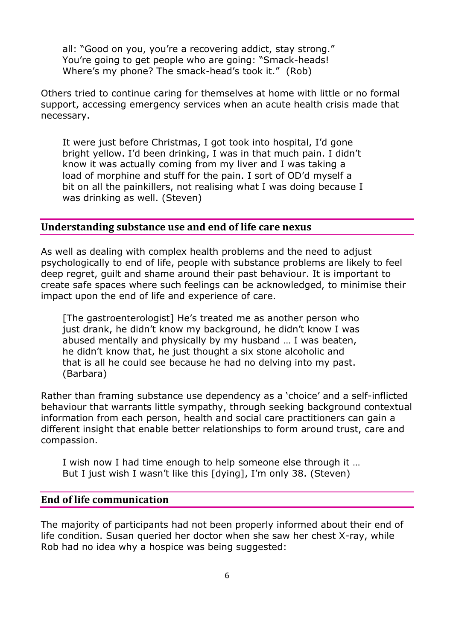all: "Good on you, you're a recovering addict, stay strong." You're going to get people who are going: "Smack-heads! Where's my phone? The smack-head's took it." (Rob)

Others tried to continue caring for themselves at home with little or no formal support, accessing emergency services when an acute health crisis made that necessary.

It were just before Christmas, I got took into hospital, I'd gone bright yellow. I'd been drinking, I was in that much pain. I didn't know it was actually coming from my liver and I was taking a load of morphine and stuff for the pain. I sort of OD'd myself a bit on all the painkillers, not realising what I was doing because I was drinking as well. (Steven)

#### **Understanding substance use and end of life care nexus**

As well as dealing with complex health problems and the need to adjust psychologically to end of life, people with substance problems are likely to feel deep regret, guilt and shame around their past behaviour. It is important to create safe spaces where such feelings can be acknowledged, to minimise their impact upon the end of life and experience of care.

[The gastroenterologist] He's treated me as another person who just drank, he didn't know my background, he didn't know I was abused mentally and physically by my husband … I was beaten, he didn't know that, he just thought a six stone alcoholic and that is all he could see because he had no delving into my past. (Barbara)

Rather than framing substance use dependency as a 'choice' and a self-inflicted behaviour that warrants little sympathy, through seeking background contextual information from each person, health and social care practitioners can gain a different insight that enable better relationships to form around trust, care and compassion.

I wish now I had time enough to help someone else through it … But I just wish I wasn't like this [dying], I'm only 38. (Steven)

## **End of life communication**

The majority of participants had not been properly informed about their end of life condition. Susan queried her doctor when she saw her chest X-ray, while Rob had no idea why a hospice was being suggested: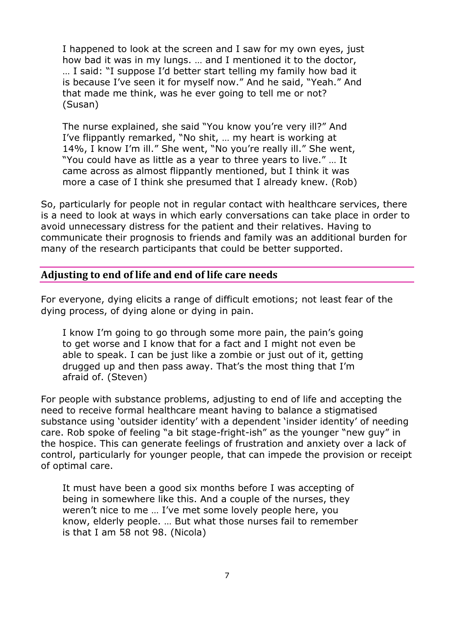I happened to look at the screen and I saw for my own eyes, just how bad it was in my lungs. … and I mentioned it to the doctor, … I said: "I suppose I'd better start telling my family how bad it is because I've seen it for myself now." And he said, "Yeah." And that made me think, was he ever going to tell me or not? (Susan)

The nurse explained, she said "You know you're very ill?" And I've flippantly remarked, "No shit, … my heart is working at 14%, I know I'm ill." She went, "No you're really ill." She went, "You could have as little as a year to three years to live." … It came across as almost flippantly mentioned, but I think it was more a case of I think she presumed that I already knew. (Rob)

So, particularly for people not in regular contact with healthcare services, there is a need to look at ways in which early conversations can take place in order to avoid unnecessary distress for the patient and their relatives. Having to communicate their prognosis to friends and family was an additional burden for many of the research participants that could be better supported.

#### **Adjusting to end of life and end of life care needs**

For everyone, dying elicits a range of difficult emotions; not least fear of the dying process, of dying alone or dying in pain.

I know I'm going to go through some more pain, the pain's going to get worse and I know that for a fact and I might not even be able to speak. I can be just like a zombie or just out of it, getting drugged up and then pass away. That's the most thing that I'm afraid of. (Steven)

For people with substance problems, adjusting to end of life and accepting the need to receive formal healthcare meant having to balance a stigmatised substance using 'outsider identity' with a dependent 'insider identity' of needing care. Rob spoke of feeling "a bit stage-fright-ish" as the younger "new guy" in the hospice. This can generate feelings of frustration and anxiety over a lack of control, particularly for younger people, that can impede the provision or receipt of optimal care.

It must have been a good six months before I was accepting of being in somewhere like this. And a couple of the nurses, they weren't nice to me … I've met some lovely people here, you know, elderly people. … But what those nurses fail to remember is that I am 58 not 98. (Nicola)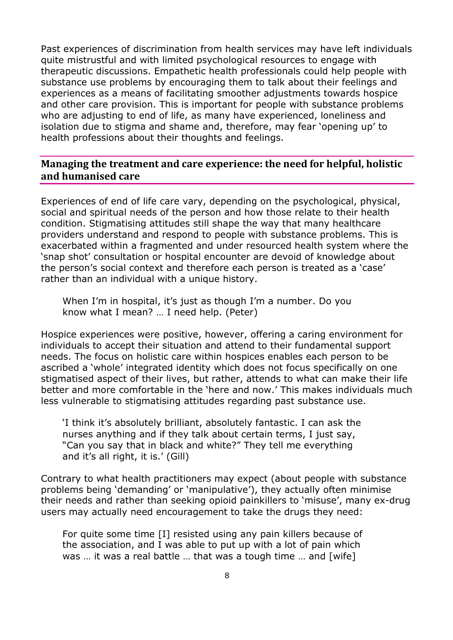Past experiences of discrimination from health services may have left individuals quite mistrustful and with limited psychological resources to engage with therapeutic discussions. Empathetic health professionals could help people with substance use problems by encouraging them to talk about their feelings and experiences as a means of facilitating smoother adjustments towards hospice and other care provision. This is important for people with substance problems who are adjusting to end of life, as many have experienced, loneliness and isolation due to stigma and shame and, therefore, may fear 'opening up' to health professions about their thoughts and feelings.

## **Managing the treatment and care experience: the need for helpful, holistic and humanised care**

Experiences of end of life care vary, depending on the psychological, physical, social and spiritual needs of the person and how those relate to their health condition. Stigmatising attitudes still shape the way that many healthcare providers understand and respond to people with substance problems. This is exacerbated within a fragmented and under resourced health system where the 'snap shot' consultation or hospital encounter are devoid of knowledge about the person's social context and therefore each person is treated as a 'case' rather than an individual with a unique history.

When I'm in hospital, it's just as though I'm a number. Do you know what I mean? … I need help. (Peter)

Hospice experiences were positive, however, offering a caring environment for individuals to accept their situation and attend to their fundamental support needs. The focus on holistic care within hospices enables each person to be ascribed a 'whole' integrated identity which does not focus specifically on one stigmatised aspect of their lives, but rather, attends to what can make their life better and more comfortable in the 'here and now.' This makes individuals much less vulnerable to stigmatising attitudes regarding past substance use.

'I think it's absolutely brilliant, absolutely fantastic. I can ask the nurses anything and if they talk about certain terms, I just say, "Can you say that in black and white?" They tell me everything and it's all right, it is.' (Gill)

Contrary to what health practitioners may expect (about people with substance problems being 'demanding' or 'manipulative'), they actually often minimise their needs and rather than seeking opioid painkillers to 'misuse', many ex-drug users may actually need encouragement to take the drugs they need:

For quite some time [I] resisted using any pain killers because of the association, and I was able to put up with a lot of pain which was … it was a real battle … that was a tough time … and [wife]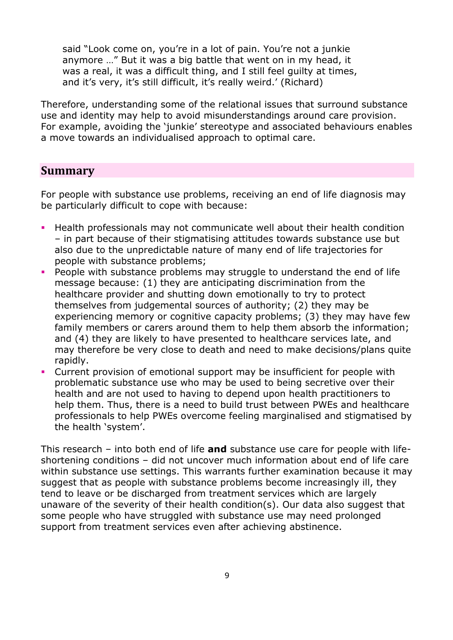said "Look come on, you're in a lot of pain. You're not a junkie anymore …" But it was a big battle that went on in my head, it was a real, it was a difficult thing, and I still feel guilty at times, and it's very, it's still difficult, it's really weird.' (Richard)

Therefore, understanding some of the relational issues that surround substance use and identity may help to avoid misunderstandings around care provision. For example, avoiding the 'junkie' stereotype and associated behaviours enables a move towards an individualised approach to optimal care.

#### **Summary**

For people with substance use problems, receiving an end of life diagnosis may be particularly difficult to cope with because:

- **Health professionals may not communicate well about their health condition** – in part because of their stigmatising attitudes towards substance use but also due to the unpredictable nature of many end of life trajectories for people with substance problems;
- People with substance problems may struggle to understand the end of life message because: (1) they are anticipating discrimination from the healthcare provider and shutting down emotionally to try to protect themselves from judgemental sources of authority; (2) they may be experiencing memory or cognitive capacity problems; (3) they may have few family members or carers around them to help them absorb the information; and (4) they are likely to have presented to healthcare services late, and may therefore be very close to death and need to make decisions/plans quite rapidly.
- Current provision of emotional support may be insufficient for people with problematic substance use who may be used to being secretive over their health and are not used to having to depend upon health practitioners to help them. Thus, there is a need to build trust between PWEs and healthcare professionals to help PWEs overcome feeling marginalised and stigmatised by the health 'system'.

This research – into both end of life **and** substance use care for people with lifeshortening conditions – did not uncover much information about end of life care within substance use settings. This warrants further examination because it may suggest that as people with substance problems become increasingly ill, they tend to leave or be discharged from treatment services which are largely unaware of the severity of their health condition(s). Our data also suggest that some people who have struggled with substance use may need prolonged support from treatment services even after achieving abstinence.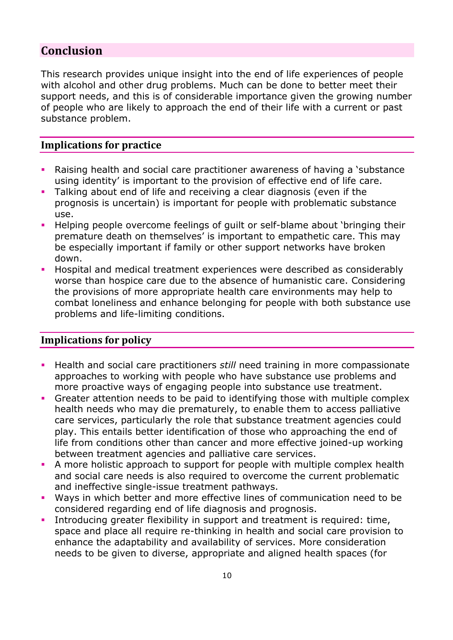# **Conclusion**

This research provides unique insight into the end of life experiences of people with alcohol and other drug problems. Much can be done to better meet their support needs, and this is of considerable importance given the growing number of people who are likely to approach the end of their life with a current or past substance problem.

## **Implications for practice**

- Raising health and social care practitioner awareness of having a 'substance using identity' is important to the provision of effective end of life care.
- Talking about end of life and receiving a clear diagnosis (even if the prognosis is uncertain) is important for people with problematic substance use.
- Helping people overcome feelings of quilt or self-blame about 'bringing their premature death on themselves' is important to empathetic care. This may be especially important if family or other support networks have broken down.
- Hospital and medical treatment experiences were described as considerably worse than hospice care due to the absence of humanistic care. Considering the provisions of more appropriate health care environments may help to combat loneliness and enhance belonging for people with both substance use problems and life-limiting conditions.

# **Implications for policy**

- Health and social care practitioners *still* need training in more compassionate approaches to working with people who have substance use problems and more proactive ways of engaging people into substance use treatment.
- Greater attention needs to be paid to identifying those with multiple complex health needs who may die prematurely, to enable them to access palliative care services, particularly the role that substance treatment agencies could play. This entails better identification of those who approaching the end of life from conditions other than cancer and more effective joined-up working between treatment agencies and palliative care services.
- A more holistic approach to support for people with multiple complex health and social care needs is also required to overcome the current problematic and ineffective single-issue treatment pathways.
- **Ways in which better and more effective lines of communication need to be** considered regarding end of life diagnosis and prognosis.
- Introducing greater flexibility in support and treatment is required: time, space and place all require re-thinking in health and social care provision to enhance the adaptability and availability of services. More consideration needs to be given to diverse, appropriate and aligned health spaces (for